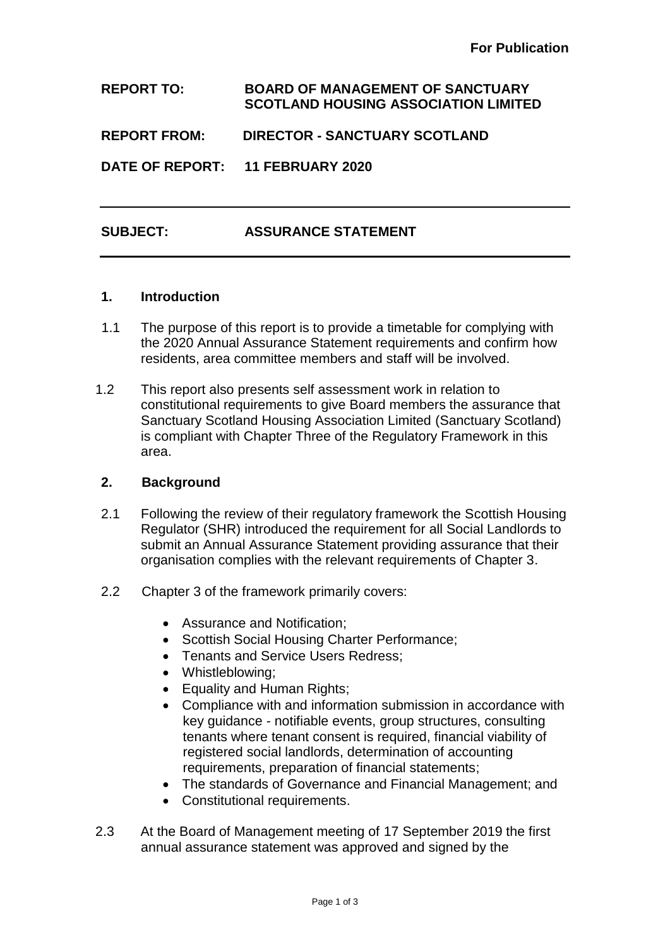**REPORT TO: BOARD OF MANAGEMENT OF SANCTUARY SCOTLAND HOUSING ASSOCIATION LIMITED**

**REPORT FROM: DIRECTOR - SANCTUARY SCOTLAND**

**DATE OF REPORT: 11 FEBRUARY 2020**

# **SUBJECT: ASSURANCE STATEMENT**

#### **1. Introduction**

- 1.1 The purpose of this report is to provide a timetable for complying with the 2020 Annual Assurance Statement requirements and confirm how residents, area committee members and staff will be involved.
- 1.2 This report also presents self assessment work in relation to constitutional requirements to give Board members the assurance that Sanctuary Scotland Housing Association Limited (Sanctuary Scotland) is compliant with Chapter Three of the Regulatory Framework in this area.

## **2. Background**

- 2.1 Following the review of their regulatory framework the Scottish Housing Regulator (SHR) introduced the requirement for all Social Landlords to submit an Annual Assurance Statement providing assurance that their organisation complies with the relevant requirements of Chapter 3.
- 2.2 Chapter 3 of the framework primarily covers:
	- Assurance and Notification;
	- Scottish Social Housing Charter Performance;
	- Tenants and Service Users Redress;
	- Whistleblowing;
	- Equality and Human Rights;
	- Compliance with and information submission in accordance with key guidance - notifiable events, group structures, consulting tenants where tenant consent is required, financial viability of registered social landlords, determination of accounting requirements, preparation of financial statements;
	- The standards of Governance and Financial Management; and
	- Constitutional requirements.
- 2.3 At the Board of Management meeting of 17 September 2019 the first annual assurance statement was approved and signed by the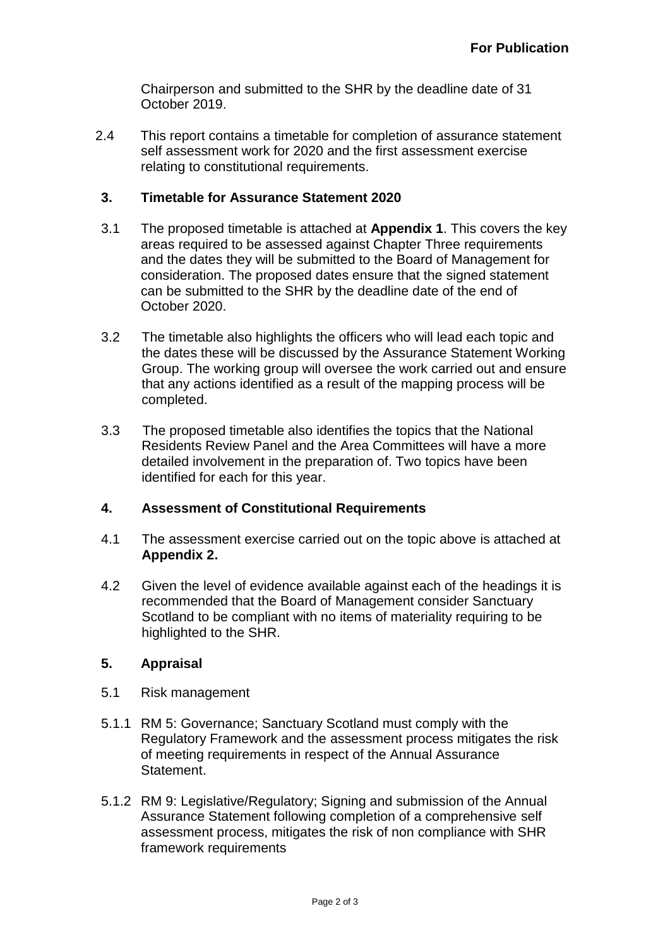Chairperson and submitted to the SHR by the deadline date of 31 October 2019.

2.4 This report contains a timetable for completion of assurance statement self assessment work for 2020 and the first assessment exercise relating to constitutional requirements.

## **3. Timetable for Assurance Statement 2020**

- 3.1 The proposed timetable is attached at **Appendix 1**. This covers the key areas required to be assessed against Chapter Three requirements and the dates they will be submitted to the Board of Management for consideration. The proposed dates ensure that the signed statement can be submitted to the SHR by the deadline date of the end of October 2020.
- 3.2 The timetable also highlights the officers who will lead each topic and the dates these will be discussed by the Assurance Statement Working Group. The working group will oversee the work carried out and ensure that any actions identified as a result of the mapping process will be completed.
- 3.3 The proposed timetable also identifies the topics that the National Residents Review Panel and the Area Committees will have a more detailed involvement in the preparation of. Two topics have been identified for each for this year.

## **4. Assessment of Constitutional Requirements**

- 4.1 The assessment exercise carried out on the topic above is attached at **Appendix 2.**
- 4.2 Given the level of evidence available against each of the headings it is recommended that the Board of Management consider Sanctuary Scotland to be compliant with no items of materiality requiring to be highlighted to the SHR.

## **5. Appraisal**

- 5.1 Risk management
- 5.1.1 RM 5: Governance; Sanctuary Scotland must comply with the Regulatory Framework and the assessment process mitigates the risk of meeting requirements in respect of the Annual Assurance Statement.
- 5.1.2 RM 9: Legislative/Regulatory; Signing and submission of the Annual Assurance Statement following completion of a comprehensive self assessment process, mitigates the risk of non compliance with SHR framework requirements